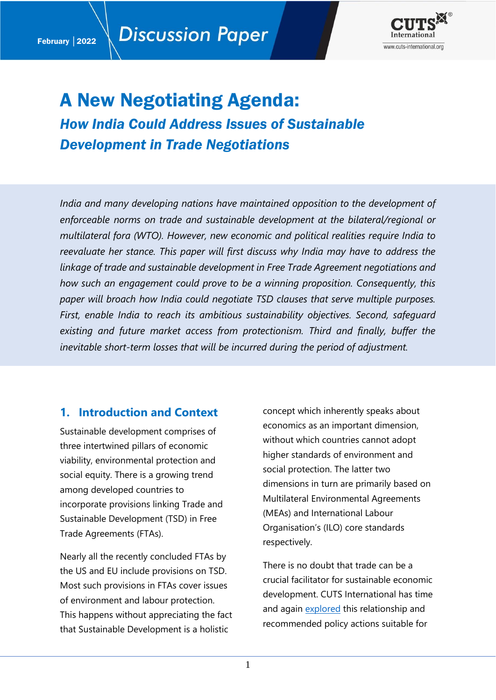

# A New Negotiating Agenda:

*How India Could Address Issues of Sustainable Development in Trade Negotiations*

*India and many developing nations have maintained opposition to the development of enforceable norms on trade and sustainable development at the bilateral/regional or multilateral fora (WTO). However, new economic and political realities require India to reevaluate her stance. This paper will first discuss why India may have to address the linkage of trade and sustainable development in Free Trade Agreement negotiations and how such an engagement could prove to be a winning proposition. Consequently, this paper will broach how India could negotiate TSD clauses that serve multiple purposes. First, enable India to reach its ambitious sustainability objectives. Second, safeguard existing and future market access from protectionism. Third and finally, buffer the inevitable short-term losses that will be incurred during the period of adjustment.*

## **1. Introduction and Context**

Sustainable development comprises of three intertwined pillars of economic viability, environmental protection and social equity. There is a growing trend among developed countries to incorporate provisions linking Trade and Sustainable Development (TSD) in Free Trade Agreements (FTAs).

Nearly all the recently concluded FTAs by the US and EU include provisions on TSD. Most such provisions in FTAs cover issues of environment and labour protection. This happens without appreciating the fact that Sustainable Development is a holistic

concept which inherently speaks about economics as an important dimension, without which countries cannot adopt higher standards of environment and social protection. The latter two dimensions in turn are primarily based on Multilateral Environmental Agreements (MEAs) and International Labour Organisation's (ILO) core standards respectively.

There is no doubt that trade can be a crucial facilitator for sustainable economic development. CUTS International has time and again [explored](https://cuts-citee.org/trade-sustainable-development-2/) this relationship and recommended policy actions suitable for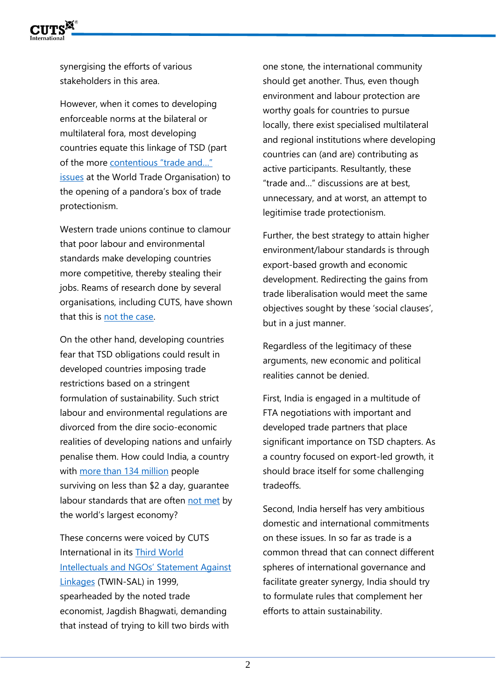

synergising the efforts of various stakeholders in this area.

However, when it comes to developing enforceable norms at the bilateral or multilateral fora, most developing countries equate this linkage of TSD (part of the more [contentious "trade and…"](https://www.jstor.org/stable/44404313)  [issues](https://www.jstor.org/stable/44404313) at the World Trade Organisation) to the opening of a pandora's box of trade protectionism.

Western trade unions continue to clamour that poor labour and environmental standards make developing countries more competitive, thereby stealing their jobs. Reams of research done by several organisations, including CUTS, have shown that this is [not the case.](https://cuts-citee.org/pdf/RREPORT04-03.pdf)

On the other hand, developing countries fear that TSD obligations could result in developed countries imposing trade restrictions based on a stringent formulation of sustainability. Such strict labour and environmental regulations are divorced from the dire socio-economic realities of developing nations and unfairly penalise them. How could India, a country with [more than 134 million](https://www.pewresearch.org/fact-tank/2021/03/18/in-the-pandemic-indias-middle-class-shrinks-and-poverty-spreads-while-china-sees-smaller-changes/) people surviving on less than \$2 a day, guarantee labour standards that are often [not met](https://scholarship.law.umn.edu/cgi/viewcontent.cgi?article=1372&context=faculty_articles) by the world's largest economy?

These concerns were voiced by CUTS International in its [Third World](https://cuts-citee.org/third-world-intellectuals-and-ngos-statement-against-linkages/)  [Intellectuals and NGOs' Statement Against](https://cuts-citee.org/third-world-intellectuals-and-ngos-statement-against-linkages/)  [Linkages](https://cuts-citee.org/third-world-intellectuals-and-ngos-statement-against-linkages/) (TWIN-SAL) in 1999, spearheaded by the noted trade economist, Jagdish Bhagwati, demanding that instead of trying to kill two birds with

one stone, the international community should get another. Thus, even though environment and labour protection are worthy goals for countries to pursue locally, there exist specialised multilateral and regional institutions where developing countries can (and are) contributing as active participants. Resultantly, these "trade and…" discussions are at best, unnecessary, and at worst, an attempt to legitimise trade protectionism.

Further, the best strategy to attain higher environment/labour standards is through export-based growth and economic development. Redirecting the gains from trade liberalisation would meet the same objectives sought by these 'social clauses', but in a just manner.

Regardless of the legitimacy of these arguments, new economic and political realities cannot be denied.

First, India is engaged in a multitude of FTA negotiations with important and developed trade partners that place significant importance on TSD chapters. As a country focused on export-led growth, it should brace itself for some challenging tradeoffs.

Second, India herself has very ambitious domestic and international commitments on these issues. In so far as trade is a common thread that can connect different spheres of international governance and facilitate greater synergy, India should try to formulate rules that complement her efforts to attain sustainability.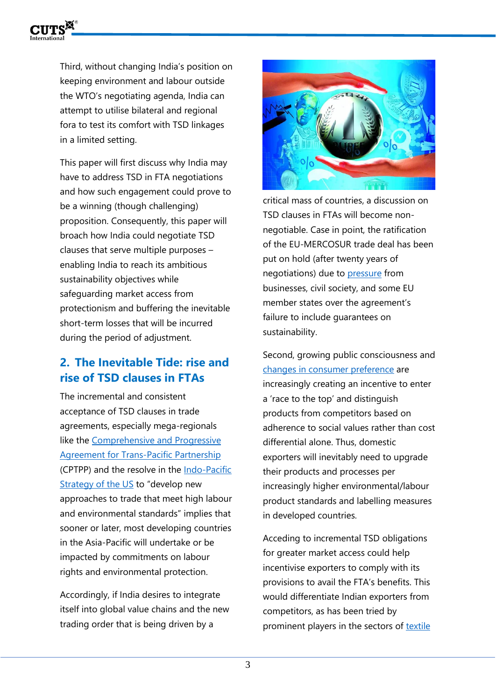

Third, without changing India's position on keeping environment and labour outside the WTO's negotiating agenda, India can attempt to utilise bilateral and regional fora to test its comfort with TSD linkages in a limited setting.

This paper will first discuss why India may have to address TSD in FTA negotiations and how such engagement could prove to be a winning (though challenging) proposition. Consequently, this paper will broach how India could negotiate TSD clauses that serve multiple purposes – enabling India to reach its ambitious sustainability objectives while safeguarding market access from protectionism and buffering the inevitable short-term losses that will be incurred during the period of adjustment.

# **2. The Inevitable Tide: rise and rise of TSD clauses in FTAs**

The incremental and consistent acceptance of TSD clauses in trade agreements, especially mega-regionals like the Comprehensive and Progressive [Agreement for Trans-Pacific Partnership](https://www.mfat.govt.nz/vn/trade/free-trade-agreements/free-trade-agreements-in-force/comprehensive-and-progressive-agreement-for-trans-pacific-partnership-cptpp/understanding-cptpp/) (CPTPP) and the resolve in the [Indo-Pacific](https://www.whitehouse.gov/briefing-room/speeches-remarks/2022/02/11/fact-sheet-indo-pacific-strategy-of-the-united-states/)  [Strategy of the US](https://www.whitehouse.gov/briefing-room/speeches-remarks/2022/02/11/fact-sheet-indo-pacific-strategy-of-the-united-states/) to "develop new approaches to trade that meet high labour and environmental standards" implies that sooner or later, most developing countries in the Asia-Pacific will undertake or be impacted by commitments on labour rights and environmental protection.

Accordingly, if India desires to integrate itself into global value chains and the new trading order that is being driven by a



critical mass of countries, a discussion on TSD clauses in FTAs will become nonnegotiable. Case in point, the ratification of the EU-MERCOSUR trade deal has been put on hold (after twenty years of negotiations) due to [pressure](https://www.greens-efa.eu/opinions/2022/01/28/european-businesses-have-concerns-about-the-eu-mercosur-deal/) from businesses, civil society, and some EU member states over the agreement's failure to include guarantees on sustainability.

Second, growing public consciousness and [changes in consumer preference](https://www.which.co.uk/policy/euexit/8502/consumer-priorities) are increasingly creating an incentive to enter a 'race to the top' and distinguish products from competitors based on adherence to social values rather than cost differential alone. Thus, domestic exporters will inevitably need to upgrade their products and processes per increasingly higher environmental/labour product standards and labelling measures in developed countries.

Acceding to incremental TSD obligations for greater market access could help incentivise exporters to comply with its provisions to avail the FTA's benefits. This would differentiate Indian exporters from competitors, as has been tried by prominent players in the sectors of [textile](https://www.investindia.gov.in/siru/india-goes-green-textile-industry)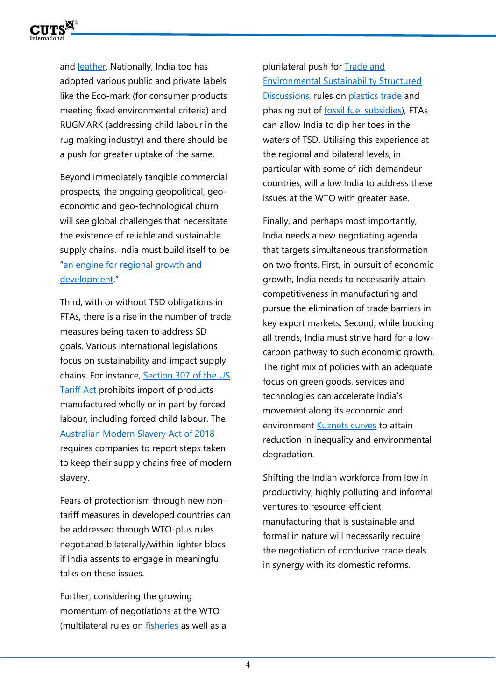

and [leather.](https://www.epw.in/journal/2007/19/commentary/environmental-regulations-and-indian-leather-industry.html) Nationally, India too has adopted various public and private labels like the Eco-mark (for consumer products meeting fixed environmental criteria) and RUGMARK (addressing child labour in the rug making industry) and there should be a push for greater uptake of the same.

Beyond immediately tangible commercial prospects, the ongoing geopolitical, geoeconomic and geo-technological churn will see global challenges that necessitate the existence of reliable and sustainable supply chains. India must build itself to be "[an engine for regional growth and](https://www.hindustantimes.com/world-news/india-a-driving-force-of-quad-engine-for-regional-growth-says-united-states-101644898323762.html)  [development](https://www.hindustantimes.com/world-news/india-a-driving-force-of-quad-engine-for-regional-growth-says-united-states-101644898323762.html)."

Third, with or without TSD obligations in FTAs, there is a rise in the number of trade measures being taken to address SD goals. Various international legislations focus on sustainability and impact supply chains. For instance, [Section 307 of the US](https://sgp.fas.org/crs/misc/R46631.pdf)  [Tariff Act](https://sgp.fas.org/crs/misc/R46631.pdf) prohibits import of products manufactured wholly or in part by forced labour, including forced child labour. The [Australian Modern Slavery Act of 2018](https://www.legislation.gov.au/Details/C2018A00153#:~:text=This%20Act%20is%20the%20Modern%20Slavery%20Act%202018.&text=This%20Act%20requires%20entities%20based,actions%20to%20address%20those%20risks.) requires companies to report steps taken to keep their supply chains free of modern slavery.

Fears of protectionism through new nontariff measures in developed countries can be addressed through WTO-plus rules negotiated bilaterally/within lighter blocs if India assents to engage in meaningful talks on these issues.

Further, considering the growing momentum of negotiations at the WTO (multilateral rules on [fisheries](https://www.wto.org/english/tratop_e/rulesneg_e/fish_e/fish_e.htm) as well as a plurilateral push for [Trade and](https://docs.wto.org/dol2fe/Pages/SS/directdoc.aspx?filename=q:/WT/MIN21/6R2.pdf&Open=True)  [Environmental Sustainability Structured](https://docs.wto.org/dol2fe/Pages/SS/directdoc.aspx?filename=q:/WT/MIN21/6R2.pdf&Open=True)  [Discussions,](https://docs.wto.org/dol2fe/Pages/SS/directdoc.aspx?filename=q:/WT/MIN21/6R2.pdf&Open=True) rules on [plastics trade](https://docs.wto.org/dol2fe/Pages/SS/directdoc.aspx?filename=q:/WT/MIN21/8R2.pdf&Open=True) and phasing out of [fossil fuel subsidies\)](https://docs.wto.org/dol2fe/Pages/SS/directdoc.aspx?filename=q:/WT/MIN21/9R1.pdf&Open=True), FTAs can allow India to dip her toes in the waters of TSD. Utilising this experience at the regional and bilateral levels, in particular with some of rich demandeur countries, will allow India to address these issues at the WTO with greater ease.

Finally, and perhaps most importantly, India needs a new negotiating agenda that targets simultaneous transformation on two fronts. First, in pursuit of economic growth, India needs to necessarily attain competitiveness in manufacturing and pursue the elimination of trade barriers in key export markets. Second, while bucking all trends, India must strive hard for a lowcarbon pathway to such economic growth. The right mix of policies with an adequate focus on green goods, services and technologies can accelerate India's movement along its economic and environment [Kuznets curves](https://onlinelibrary.wiley.com/doi/abs/10.1002/tqem.21546#:~:text=Environmental%20Kuznets%20curves%20(EKC)%2C,are%20steadily%20increasing%20in%20India.) to attain reduction in inequality and environmental degradation.

Shifting the Indian workforce from low in productivity, highly polluting and informal ventures to resource-efficient manufacturing that is sustainable and formal in nature will necessarily require the negotiation of conducive trade deals in synergy with its domestic reforms.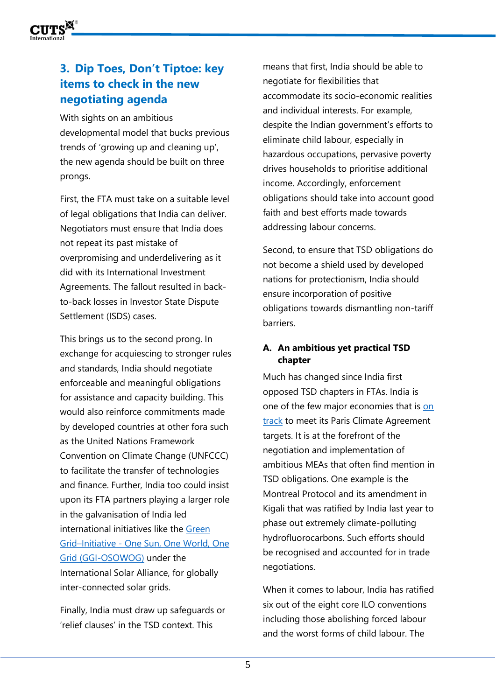

# **3. Dip Toes, Don't Tiptoe: key items to check in the new negotiating agenda**

With sights on an ambitious developmental model that bucks previous trends of 'growing up and cleaning up', the new agenda should be built on three prongs.

First, the FTA must take on a suitable level of legal obligations that India can deliver. Negotiators must ensure that India does not repeat its past mistake of overpromising and underdelivering as it did with its International Investment Agreements. The fallout resulted in backto-back losses in Investor State Dispute Settlement (ISDS) cases.

This brings us to the second prong. In exchange for acquiescing to stronger rules and standards, India should negotiate enforceable and meaningful obligations for assistance and capacity building. This would also reinforce commitments made by developed countries at other fora such as the United Nations Framework Convention on Climate Change (UNFCCC) to facilitate the transfer of technologies and finance. Further, India too could insist upon its FTA partners playing a larger role in the galvanisation of India led international initiatives like the [Green](https://pib.gov.in/PressReleasePage.aspx?PRID=1763712https://pib.gov.in/PressReleasePage.aspx?PRID=1763712)  Grid–Initiative - [One Sun, One World, One](https://pib.gov.in/PressReleasePage.aspx?PRID=1763712https://pib.gov.in/PressReleasePage.aspx?PRID=1763712)  [Grid \(GGI-OSOWOG\)](https://pib.gov.in/PressReleasePage.aspx?PRID=1763712https://pib.gov.in/PressReleasePage.aspx?PRID=1763712) under the International Solar Alliance, for globally inter-connected solar grids.

Finally, India must draw up safeguards or 'relief clauses' in the TSD context. This

means that first, India should be able to negotiate for flexibilities that accommodate its socio-economic realities and individual interests. For example, despite the Indian government's efforts to eliminate child labour, especially in hazardous occupations, pervasive poverty drives households to prioritise additional income. Accordingly, enforcement obligations should take into account good faith and best efforts made towards addressing labour concerns.

Second, to ensure that TSD obligations do not become a shield used by developed nations for protectionism, India should ensure incorporation of positive obligations towards dismantling non-tariff barriers.

#### **A. An ambitious yet practical TSD chapter**

Much has changed since India first opposed TSD chapters in FTAs. India is one of the few major economies that is [on](https://www.business-standard.com/article/economy-policy/india-on-track-to-achieve-paris-accord-and-cop-26-commitments-yadav-122011001462_1.html)  [track](https://www.business-standard.com/article/economy-policy/india-on-track-to-achieve-paris-accord-and-cop-26-commitments-yadav-122011001462_1.html) to meet its Paris Climate Agreement targets. It is at the forefront of the negotiation and implementation of ambitious MEAs that often find mention in TSD obligations. One example is the Montreal Protocol and its amendment in Kigali that was ratified by India last year to phase out extremely climate-polluting hydrofluorocarbons. Such efforts should be recognised and accounted for in trade negotiations.

When it comes to labour, India has ratified six out of the eight core ILO conventions including those abolishing forced labour and the worst forms of child labour. The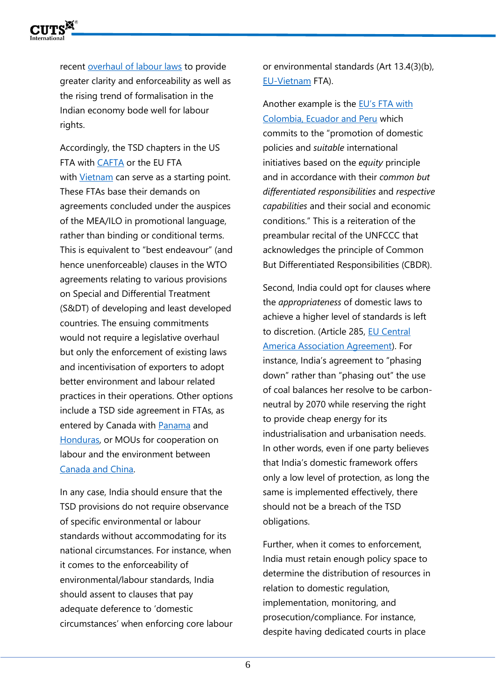

recent [overhaul of labour laws](https://www.ey.com/en_in/tax/india-tax-insights/changing-landscape-of-labour-laws-in-india-what-businesses-should-do-to-be-future-ready) to provide greater clarity and enforceability as well as the rising trend of formalisation in the Indian economy bode well for labour rights.

Accordingly, the TSD chapters in the US FTA with [CAFTA](https://ustr.gov/trade-agreements/free-trade-agreements/cafta-dr-dominican-republic-central-america-fta/final-text) or the EU FTA with [Vietnam](https://trade.ec.europa.eu/doclib/press/index.cfm?id=1437) can serve as a starting point. These FTAs base their demands on agreements concluded under the auspices of the MEA/ILO in promotional language, rather than binding or conditional terms. This is equivalent to "best endeavour" (and hence unenforceable) clauses in the WTO agreements relating to various provisions on Special and Differential Treatment (S&DT) of developing and least developed countries. The ensuing commitments would not require a legislative overhaul but only the enforcement of existing laws and incentivisation of exporters to adopt better environment and labour related practices in their operations. Other options include a TSD side agreement in FTAs, as entered by Canada with [Panama](https://www.international.gc.ca/trade-commerce/trade-agreements-accords-commerciaux/agr-acc/panama/fta-ale/background-contexte.aspx?lang=eng) and [Honduras,](https://www.international.gc.ca/trade-commerce/trade-agreements-accords-commerciaux/agr-acc/honduras/fta-ale/index.aspx?lang=eng) or MOUs for cooperation on labour and the environment between [Canada and China.](https://www.canada.ca/en/employment-social-development/services/labour-relations/international/agreements/mou-china1.html)

In any case, India should ensure that the TSD provisions do not require observance of specific environmental or labour standards without accommodating for its national circumstances. For instance, when it comes to the enforceability of environmental/labour standards, India should assent to clauses that pay adequate deference to 'domestic circumstances' when enforcing core labour or environmental standards (Art 13.4(3)(b), [EU-Vietnam](https://ec.europa.eu/trade/policy/in-focus/eu-vietnam-agreement/) FTA).

Another example is the [EU's FTA with](https://ec.europa.eu/trade/policy/countries-and-regions/regions/andean-community/)  [Colombia, Ecuador and Peru](https://ec.europa.eu/trade/policy/countries-and-regions/regions/andean-community/) which commits to the "promotion of domestic policies and *suitable* international initiatives based on the *equity* principle and in accordance with their *common but differentiated responsibilities* and *respective capabilities* and their social and economic conditions." This is a reiteration of the preambular recital of the UNFCCC that acknowledges the principle of Common But Differentiated Responsibilities (CBDR).

Second, India could opt for clauses where the *appropriateness* of domestic laws to achieve a higher level of standards is left to discretion. (Article 285, EU Central [America Association Agreement\)](https://eur-lex.europa.eu/LexUriServ/LexUriServ.do?uri=OJ:L:2012:346:0003:2621:en:PDF). For instance, India's agreement to "phasing down" rather than "phasing out" the use of coal balances her resolve to be carbonneutral by 2070 while reserving the right to provide cheap energy for its industrialisation and urbanisation needs. In other words, even if one party believes that India's domestic framework offers only a low level of protection, as long the same is implemented effectively, there should not be a breach of the TSD obligations.

Further, when it comes to enforcement, India must retain enough policy space to determine the distribution of resources in relation to domestic regulation, implementation, monitoring, and prosecution/compliance. For instance, despite having dedicated courts in place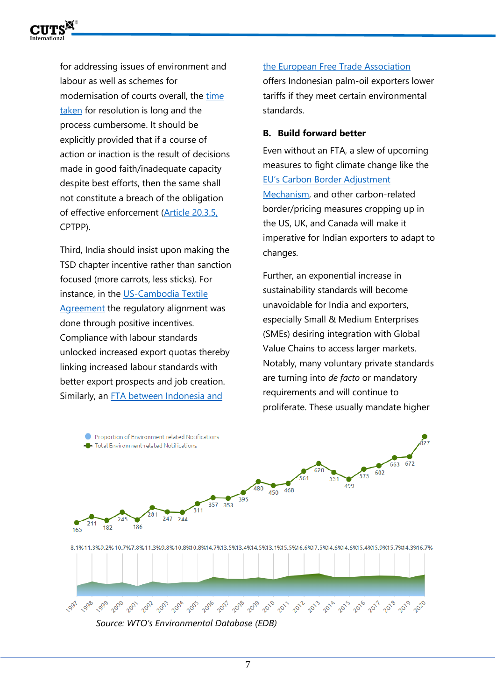

for addressing issues of environment and labour as well as schemes for modernisation of courts overall, the [time](https://www.thehindu.com/news/national/8000-cases-pending-for-over-5-years-in-labour-courts-tribunals/article32661996.ece)  [taken](https://www.thehindu.com/news/national/8000-cases-pending-for-over-5-years-in-labour-courts-tribunals/article32661996.ece) for resolution is long and the process cumbersome. It should be explicitly provided that if a course of action or inaction is the result of decisions made in good faith/inadequate capacity despite best efforts, then the same shall not constitute a breach of the obligation of effective enforcement [\(Article 20.3.5,](https://www.dfat.gov.au/sites/default/files/20-environment.pdf) CPTPP).

Third, India should insist upon making the TSD chapter incentive rather than sanction focused (more carrots, less sticks). For instance, in the [US-Cambodia Textile](https://www.ilo.org/wcmsp5/groups/public/---dgreports/---inst/documents/publication/wcms_564702.pdf#page=57)  [Agreement](https://www.ilo.org/wcmsp5/groups/public/---dgreports/---inst/documents/publication/wcms_564702.pdf#page=57) the regulatory alignment was done through positive incentives. Compliance with labour standards unlocked increased export quotas thereby linking increased labour standards with better export prospects and job creation. Similarly, an [FTA between Indonesia and](https://www.efta.int/sites/default/files/documents/legal-texts/free-trade-relations/indonesia/efta-indonesia-main-agreement.pdf) 

[the European Free Trade Association](https://www.efta.int/sites/default/files/documents/legal-texts/free-trade-relations/indonesia/efta-indonesia-main-agreement.pdf)

offers Indonesian palm-oil exporters lower tariffs if they meet certain environmental standards.

#### **B. Build forward better**

Even without an FTA, a slew of upcoming measures to fight climate change like the EU's [Carbon Border Adjustment](https://ec.europa.eu/commission/presscorner/detail/en/qanda_21_3661)  [Mechanism,](https://ec.europa.eu/commission/presscorner/detail/en/qanda_21_3661) and other carbon-related border/pricing measures cropping up in the US, UK, and Canada will make it imperative for Indian exporters to adapt to changes.

Further, an exponential increase in sustainability standards will become unavoidable for India and exporters, especially Small & Medium Enterprises (SMEs) desiring integration with Global Value Chains to access larger markets. Notably, many voluntary private standards are turning into *de facto* or mandatory requirements and will continue to proliferate. These usually mandate higher



*Source: WTO's Environmental Database (EDB)*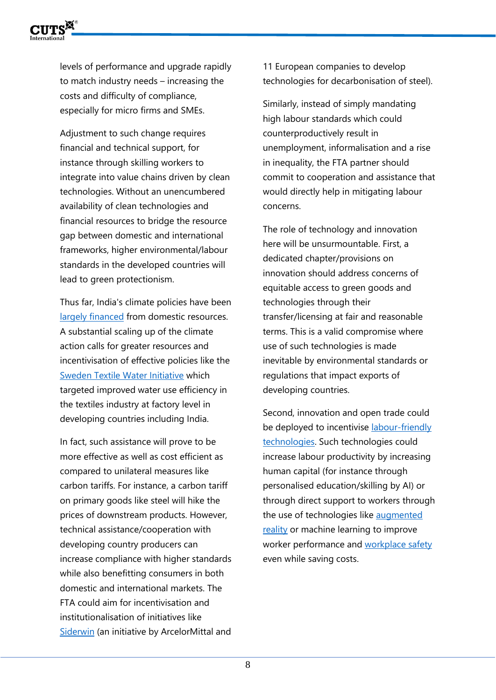

levels of performance and upgrade rapidly to match industry needs – increasing the costs and difficulty of compliance, especially for micro firms and SMEs.

Adjustment to such change requires financial and technical support, for instance through skilling workers to integrate into value chains driven by clean technologies. Without an unencumbered availability of clean technologies and financial resources to bridge the resource gap between domestic and international frameworks, higher environmental/labour standards in the developed countries will lead to green protectionism.

Thus far, India's climate policies have been [largely financed](https://d.docs.live.net/a64bb21f101ff530/CUTS/Trade%20Negotiations%202.0/India) from domestic resources. A substantial scaling up of the climate action calls for greater resources and incentivisation of effective policies like the [Sweden Textile Water Initiative](https://www.oecd.org/dac/peer-reviews/Sweden-Textile-Water-Initiative.pdf) which targeted improved water use efficiency in the textiles industry at factory level in developing countries including India.

In fact, such assistance will prove to be more effective as well as cost efficient as compared to unilateral measures like carbon tariffs. For instance, a carbon tariff on primary goods like steel will hike the prices of downstream products. However, technical assistance/cooperation with developing country producers can increase compliance with higher standards while also benefitting consumers in both domestic and international markets. The FTA could aim for incentivisation and institutionalisation of initiatives like [Siderwin](https://www.siderwin-spire.eu/) (an initiative by ArcelorMittal and

11 European companies to develop technologies for decarbonisation of steel).

Similarly, instead of simply mandating high labour standards which could counterproductively result in unemployment, informalisation and a rise in inequality, the FTA partner should commit to cooperation and assistance that would directly help in mitigating labour concerns.

The role of technology and innovation here will be unsurmountable. First, a dedicated chapter/provisions on innovation should address concerns of equitable access to green goods and technologies through their transfer/licensing at fair and reasonable terms. This is a valid compromise where use of such technologies is made inevitable by environmental standards or regulations that impact exports of developing countries.

Second, innovation and open trade could be deployed to incentivise labour-friendly [technologies.](https://wol.iza.org/articles/innovation-and-employment/long) Such technologies could increase labour productivity by increasing human capital (for instance through personalised education/skilling by AI) or through direct support to workers through the use of technologies like augmented [reality](https://hbr.org/2017/03/augmented-reality-is-already-improving-worker-performance) or machine learning to improve worker performance and [workplace safety](https://www.sciencedirect.com/science/article/pii/S2667241321000057) even while saving costs.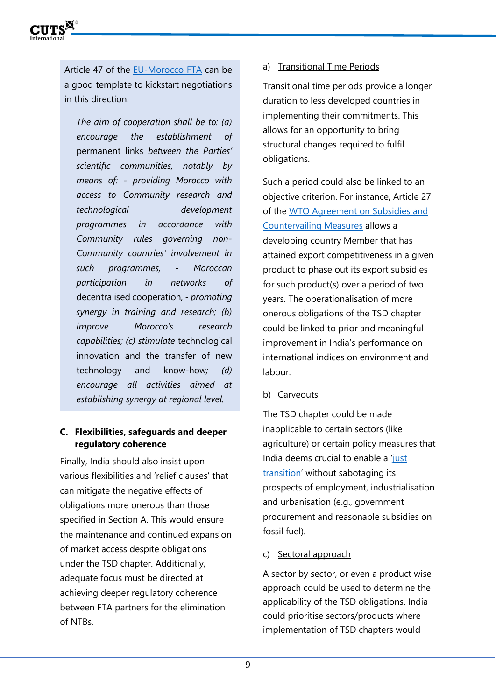

Article 47 of the [EU-Morocco FTA](https://wipolex-res.wipo.int/edocs/lexdocs/treaties/en/ec-ma/trt_ec_ma.pdf) can be a good template to kickstart negotiations in this direction:

*The aim of cooperation shall be to: (a) encourage the establishment of*  permanent links *between the Parties' scientific communities, notably by means of: - providing Morocco with access to Community research and technological development programmes in accordance with Community rules governing non-Community countries' involvement in such programmes, - Moroccan participation in networks of*  decentralised cooperation*, - promoting synergy in training and research; (b) improve Morocco's research capabilities; (c) stimulate* technological innovation and the transfer of new technology and know-how*; (d) encourage all activities aimed at establishing synergy at regional level.*

#### **C. Flexibilities, safeguards and deeper regulatory coherence**

Finally, India should also insist upon various flexibilities and 'relief clauses' that can mitigate the negative effects of obligations more onerous than those specified in Section A. This would ensure the maintenance and continued expansion of market access despite obligations under the TSD chapter. Additionally, adequate focus must be directed at achieving deeper regulatory coherence between FTA partners for the elimination of NTBs.

#### a) Transitional Time Periods

Transitional time periods provide a longer duration to less developed countries in implementing their commitments. This allows for an opportunity to bring structural changes required to fulfil obligations.

Such a period could also be linked to an objective criterion. For instance, Article 27 of the [WTO Agreement on Subsidies and](https://www.wto.org/english/tratop_e/scm_e/subs_e.htm)  [Countervailing Measures](https://www.wto.org/english/tratop_e/scm_e/subs_e.htm) allows a developing country Member that has attained export competitiveness in a given product to phase out its export subsidies for such product(s) over a period of two years. The operationalisation of more onerous obligations of the TSD chapter could be linked to prior and meaningful improvement in India's performance on international indices on environment and labour.

b) Carveouts

The TSD chapter could be made inapplicable to certain sectors (like agriculture) or certain policy measures that India deems crucial to enable a 'just [transition](https://www.ilo.org/global/topics/green-jobs/WCMS_824102/lang--en/index.htm)' without sabotaging its prospects of employment, industrialisation and urbanisation (e.g., government procurement and reasonable subsidies on fossil fuel).

c) Sectoral approach

A sector by sector, or even a product wise approach could be used to determine the applicability of the TSD obligations. India could prioritise sectors/products where implementation of TSD chapters would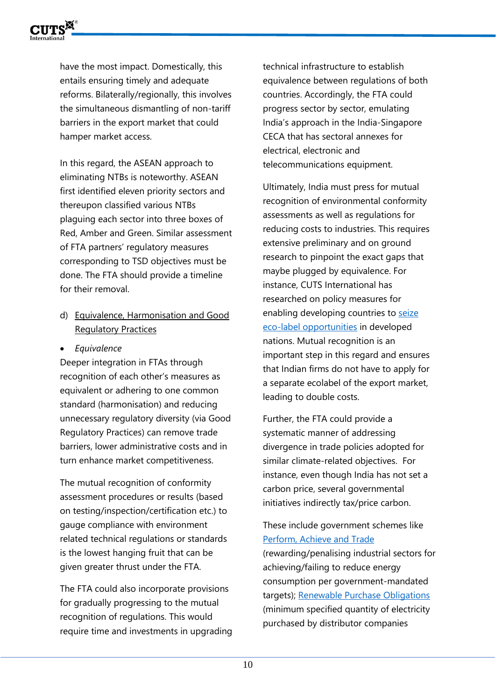

have the most impact. Domestically, this entails ensuring timely and adequate reforms. Bilaterally/regionally, this involves the simultaneous dismantling of non-tariff barriers in the export market that could hamper market access.

In this regard, the ASEAN approach to eliminating NTBs is noteworthy. ASEAN first identified eleven priority sectors and thereupon classified various NTBs plaguing each sector into three boxes of Red, Amber and Green. Similar assessment of FTA partners' regulatory measures corresponding to TSD objectives must be done. The FTA should provide a timeline for their removal.

- d) Equivalence, Harmonisation and Good Regulatory Practices
- *Equivalence*

Deeper integration in FTAs through recognition of each other's measures as equivalent or adhering to one common standard (harmonisation) and reducing unnecessary regulatory diversity (via Good Regulatory Practices) can remove trade barriers, lower administrative costs and in turn enhance market competitiveness.

The mutual recognition of conformity assessment procedures or results (based on testing/inspection/certification etc.) to gauge compliance with environment related technical regulations or standards is the lowest hanging fruit that can be given greater thrust under the FTA.

The FTA could also incorporate provisions for gradually progressing to the mutual recognition of regulations. This would require time and investments in upgrading technical infrastructure to establish equivalence between regulations of both countries. Accordingly, the FTA could progress sector by sector, emulating India's approach in the India-Singapore CECA that has sectoral annexes for electrical, electronic and telecommunications equipment.

Ultimately, India must press for mutual recognition of environmental conformity assessments as well as regulations for reducing costs to industries. This requires extensive preliminary and on ground research to pinpoint the exact gaps that maybe plugged by equivalence. For instance, CUTS International has researched on policy measures for enabling developing countries to seize [eco-label opportunities](https://cuts-citee.org/enabling-developing-countries-to-seize-eco-label-opportunities/#home) in developed nations. Mutual recognition is an important step in this regard and ensures that Indian firms do not have to apply for a separate ecolabel of the export market, leading to double costs.

Further, the FTA could provide a systematic manner of addressing divergence in trade policies adopted for similar climate-related objectives. For instance, even though India has not set a carbon price, several governmental initiatives indirectly tax/price carbon.

## These include government schemes like [Perform, Achieve and Trade](https://beeindia.gov.in/content/pat-3)

(rewarding/penalising industrial sectors for achieving/failing to reduce energy consumption per government-mandated targets); [Renewable Purchase Obligations](https://rpo.gov.in/Home/Objective) (minimum specified quantity of electricity purchased by distributor companies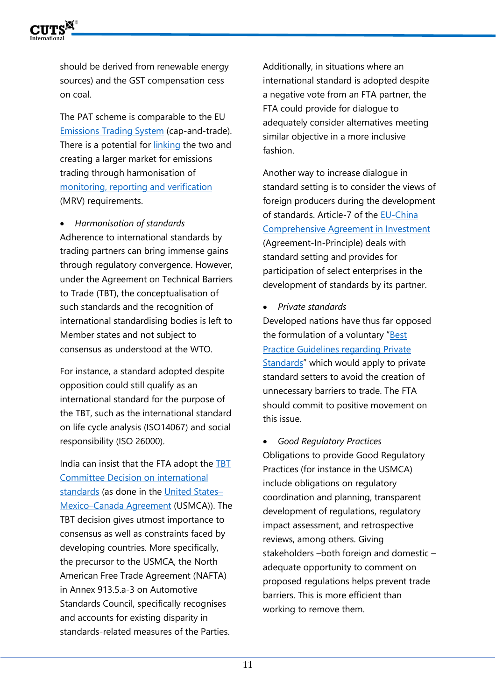

should be derived from renewable energy sources) and the GST compensation cess on coal.

The PAT scheme is comparable to the EU [Emissions Trading System](https://ec.europa.eu/clima/eu-action/eu-emissions-trading-system-eu-ets_en) (cap-and-trade). There is a potential for [linking](https://www.adb.org/sites/default/files/publication/182501/emissions-trading-schemes.pdf) the two and creating a larger market for emissions trading through harmonisation of [monitoring, reporting and verification](https://unfccc.int/files/national_reports/annex_i_natcom_/application/pdf/non-annex_i_mrv_handbook.pdf) (MRV) requirements.

• *Harmonisation of standards* Adherence to international standards by trading partners can bring immense gains through regulatory convergence. However, under the Agreement on Technical Barriers to Trade (TBT), the conceptualisation of such standards and the recognition of international standardising bodies is left to Member states and not subject to consensus as understood at the WTO.

For instance, a standard adopted despite opposition could still qualify as an international standard for the purpose of the TBT, such as the international standard on life cycle analysis (ISO14067) and social responsibility (ISO 26000).

India can insist that the FTA adopt the [TBT](https://www.wto.org/english/tratop_e/tbt_e/principles_standards_tbt_e.htm)  [Committee Decision on international](https://www.wto.org/english/tratop_e/tbt_e/principles_standards_tbt_e.htm)  [standards](https://www.wto.org/english/tratop_e/tbt_e/principles_standards_tbt_e.htm) (as done in the [United States](https://ustr.gov/trade-agreements/free-trade-agreements/united-states-mexico-canada-agreement/agreement-between)– Mexico–[Canada Agreement](https://ustr.gov/trade-agreements/free-trade-agreements/united-states-mexico-canada-agreement/agreement-between) (USMCA)). The TBT decision gives utmost importance to consensus as well as constraints faced by developing countries. More specifically, the precursor to the USMCA, the North American Free Trade Agreement (NAFTA) in Annex 913.5.a-3 on Automotive Standards Council, specifically recognises and accounts for existing disparity in standards-related measures of the Parties.

Additionally, in situations where an international standard is adopted despite a negative vote from an FTA partner, the FTA could provide for dialogue to adequately consider alternatives meeting similar objective in a more inclusive fashion.

Another way to increase dialogue in standard setting is to consider the views of foreign producers during the development of standards. Article-7 of the [EU-China](https://trade.ec.europa.eu/doclib/press/index.cfm?id=2237)  [Comprehensive Agreement in Investment](https://trade.ec.europa.eu/doclib/press/index.cfm?id=2237) (Agreement-In-Principle) deals with standard setting and provides for participation of select enterprises in the development of standards by its partner.

#### • *Private standards*

Developed nations have thus far opposed the formulation of a voluntary "[Best](https://twn.my/title2/wto.info/2016/ti160615.htm)  [Practice Guidelines regarding Private](https://twn.my/title2/wto.info/2016/ti160615.htm)  [Standards](https://twn.my/title2/wto.info/2016/ti160615.htm)" which would apply to private standard setters to avoid the creation of unnecessary barriers to trade. The FTA should commit to positive movement on this issue.

• *Good Regulatory Practices* Obligations to provide Good Regulatory Practices (for instance in the USMCA) include obligations on regulatory coordination and planning, transparent development of regulations, regulatory impact assessment, and retrospective reviews, among others. Giving stakeholders –both foreign and domestic – adequate opportunity to comment on proposed regulations helps prevent trade barriers. This is more efficient than working to remove them.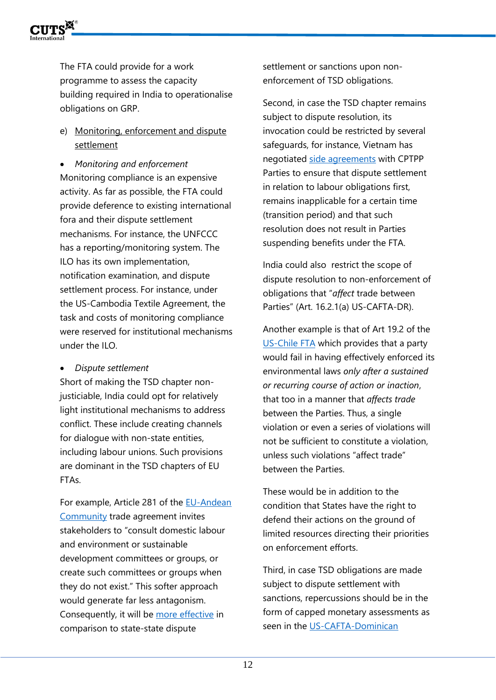

The FTA could provide for a work programme to assess the capacity building required in India to operationalise obligations on GRP.

e) Monitoring, enforcement and dispute settlement

• *Monitoring and enforcement* Monitoring compliance is an expensive activity. As far as possible, the FTA could provide deference to existing international fora and their dispute settlement mechanisms. For instance, the UNFCCC has a reporting/monitoring system. The ILO has its own implementation, notification examination, and dispute settlement process. For instance, under the US-Cambodia Textile Agreement, the task and costs of monitoring compliance were reserved for institutional mechanisms under the ILO.

• *Dispute settlement* 

Short of making the TSD chapter nonjusticiable, India could opt for relatively light institutional mechanisms to address conflict. These include creating channels for dialogue with non-state entities, including labour unions. Such provisions are dominant in the TSD chapters of EU FTAs.

For example, Article 281 of the [EU-Andean](https://ec.europa.eu/trade/policy/countries-and-regions/regions/andean-community/)  [Community](https://ec.europa.eu/trade/policy/countries-and-regions/regions/andean-community/) trade agreement invites stakeholders to "consult domestic labour and environment or sustainable development committees or groups, or create such committees or groups when they do not exist." This softer approach would generate far less antagonism. Consequently, it will be [more effective](https://www.tandfonline.com/doi/abs/10.1080/13501763.2014.910869) in comparison to state-state dispute

settlement or sanctions upon nonenforcement of TSD obligations.

Second, in case the TSD chapter remains subject to dispute resolution, its invocation could be restricted by several safeguards, for instance, Vietnam has negotiated [side agreements](https://wtocenter.vn/upload/files/fta/174-ftas-concluded/175-cptpp-tpp11/177-full-text/sl5-australia-viet-nam-labour.pdf) with CPTPP Parties to ensure that dispute settlement in relation to labour obligations first, remains inapplicable for a certain time (transition period) and that such resolution does not result in Parties suspending benefits under the FTA.

India could also restrict the scope of dispute resolution to non-enforcement of obligations that "*affect* trade between Parties" (Art. 16.2.1(a) US-CAFTA-DR).

Another example is that of Art 19.2 of the [US-Chile FTA](https://ustr.gov/trade-agreements/free-trade-agreements/chile-fta) which provides that a party would fail in having effectively enforced its environmental laws *only after a sustained or recurring course of action or inaction*, that too in a manner that *affects trade* between the Parties. Thus, a single violation or even a series of violations will not be sufficient to constitute a violation, unless such violations "affect trade" between the Parties.

These would be in addition to the condition that States have the right to defend their actions on the ground of limited resources directing their priorities on enforcement efforts.

Third, in case TSD obligations are made subject to dispute settlement with sanctions, repercussions should be in the form of capped monetary assessments as seen in the [US-CAFTA-Dominican](https://ustr.gov/trade-agreements/free-trade-agreements/cafta-dr-dominican-republic-central-america-fta)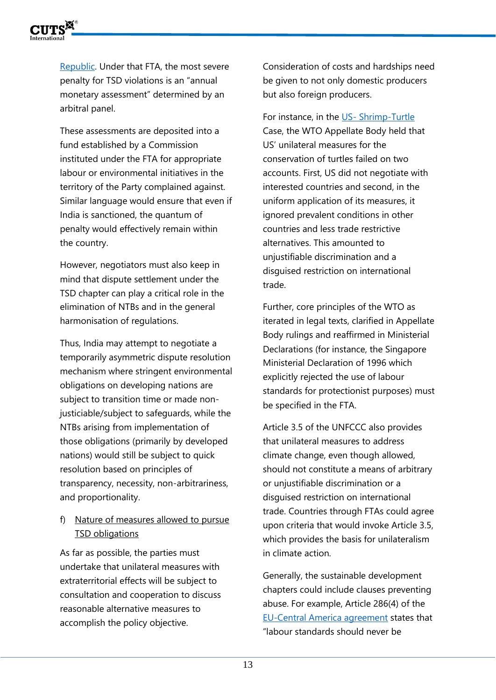

[Re](https://ustr.gov/trade-agreements/free-trade-agreements/cafta-dr-dominican-republic-central-america-fta)public. Under that FTA, the most severe penalty for TSD violations is an "annual monetary assessment" determined by an arbitral panel.

These assessments are deposited into a fund established by a Commission instituted under the FTA for appropriate labour or environmental initiatives in the territory of the Party complained against. Similar language would ensure that even if India is sanctioned, the quantum of penalty would effectively remain within the country.

However, negotiators must also keep in mind that dispute settlement under the TSD chapter can play a critical role in the elimination of NTBs and in the general harmonisation of regulations.

Thus, India may attempt to negotiate a temporarily asymmetric dispute resolution mechanism where stringent environmental obligations on developing nations are subject to transition time or made nonjusticiable/subject to safeguards, while the NTBs arising from implementation of those obligations (primarily by developed nations) would still be subject to quick resolution based on principles of transparency, necessity, non-arbitrariness, and proportionality.

### f) Nature of measures allowed to pursue **TSD obligations**

As far as possible, the parties must undertake that unilateral measures with extraterritorial effects will be subject to consultation and cooperation to discuss reasonable alternative measures to accomplish the policy objective.

Consideration of costs and hardships need be given to not only domestic producers but also foreign producers.

For instance, in the US- [Shrimp-Turtle](https://www.wto.org/english/tratop_e/dispu_e/cases_e/ds58_e.htm) Case, the WTO Appellate Body held that US' unilateral measures for the conservation of turtles failed on two accounts. First, US did not negotiate with interested countries and second, in the uniform application of its measures, it ignored prevalent conditions in other countries and less trade restrictive alternatives. This amounted to unjustifiable discrimination and a disguised restriction on international trade.

Further, core principles of the WTO as iterated in legal texts, clarified in Appellate Body rulings and reaffirmed in Ministerial Declarations (for instance, the Singapore Ministerial Declaration of 1996 which explicitly rejected the use of labour standards for protectionist purposes) must be specified in the FTA.

Article 3.5 of the UNFCCC also provides that unilateral measures to address climate change, even though allowed, should not constitute a means of arbitrary or unjustifiable discrimination or a disguised restriction on international trade. Countries through FTAs could agree upon criteria that would invoke Article 3.5, which provides the basis for unilateralism in climate action.

Generally, the sustainable development chapters could include clauses preventing abuse. For example, Article 286(4) of the [EU-Central America agreement](https://ec.europa.eu/trade/policy/countries-and-regions/regions/central-america/) states that "labour standards should never be